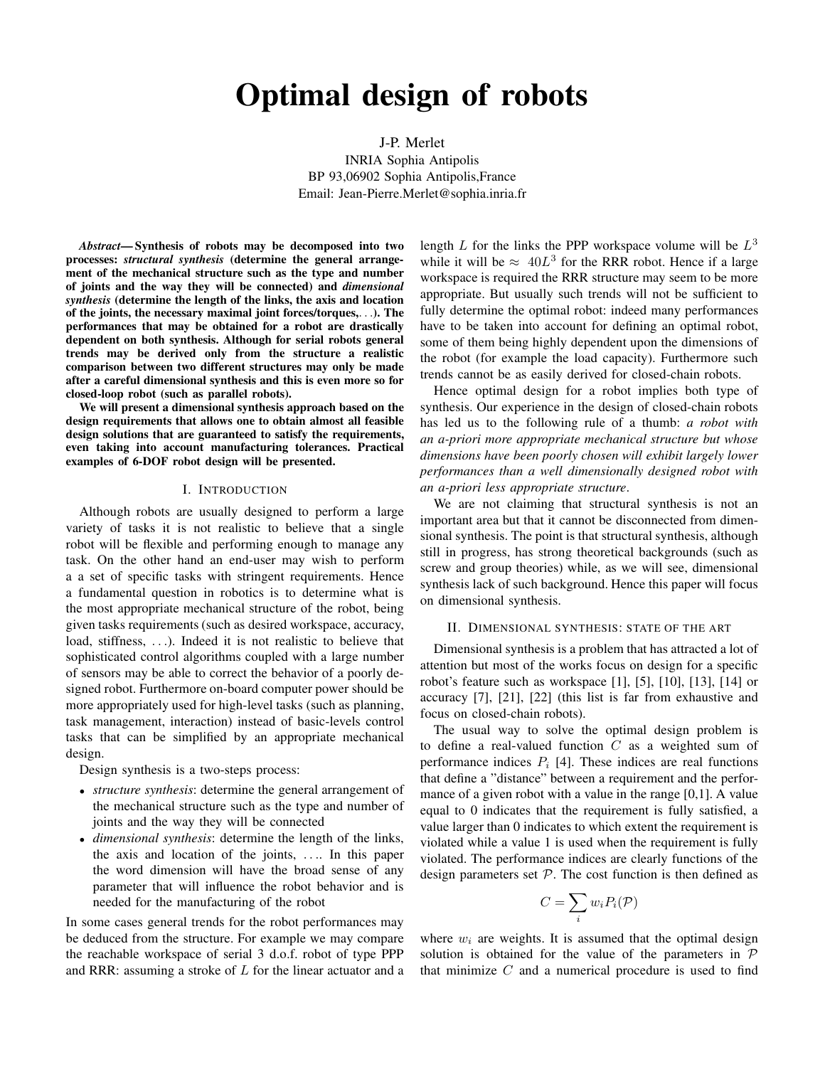# **Optimal design of robots**

J-P. Merlet INRIA Sophia Antipolis BP 93,06902 Sophia Antipolis,France Email: Jean-Pierre.Merlet@sophia.inria.fr

*Abstract***— Synthesis of robots may be decomposed into two processes:** *structural synthesis* **(determine the general arrangement of the mechanical structure such as the type and number of joints and the way they will be connected) and** *dimensional synthesis* **(determine the length of the links, the axis and location of the joints, the necessary maximal joint forces/torques,**. . .**). The performances that may be obtained for a robot are drastically dependent on both synthesis. Although for serial robots general trends may be derived only from the structure a realistic comparison between two different structures may only be made after a careful dimensional synthesis and this is even more so for closed-loop robot (such as parallel robots).**

**We will present a dimensional synthesis approach based on the design requirements that allows one to obtain almost all feasible design solutions that are guaranteed to satisfy the requirements, even taking into account manufacturing tolerances. Practical examples of 6-DOF robot design will be presented.**

#### I. INTRODUCTION

Although robots are usually designed to perform a large variety of tasks it is not realistic to believe that a single robot will be flexible and performing enough to manage any task. On the other hand an end-user may wish to perform a a set of specific tasks with stringent requirements. Hence a fundamental question in robotics is to determine what is the most appropriate mechanical structure of the robot, being given tasks requirements (such as desired workspace, accuracy, load, stiffness, ...). Indeed it is not realistic to believe that sophisticated control algorithms coupled with a large number of sensors may be able to correct the behavior of a poorly designed robot. Furthermore on-board computer power should be more appropriately used for high-level tasks (such as planning, task management, interaction) instead of basic-levels control tasks that can be simplified by an appropriate mechanical design.

Design synthesis is a two-steps process:

- *structure synthesis*: determine the general arrangement of the mechanical structure such as the type and number of joints and the way they will be connected
- *dimensional synthesis*: determine the length of the links, the axis and location of the joints, . . .. In this paper the word dimension will have the broad sense of any parameter that will influence the robot behavior and is needed for the manufacturing of the robot

In some cases general trends for the robot performances may be deduced from the structure. For example we may compare the reachable workspace of serial 3 d.o.f. robot of type PPP and RRR: assuming a stroke of  $L$  for the linear actuator and a

length L for the links the PPP workspace volume will be  $L^3$ while it will be  $\approx 40L^3$  for the RRR robot. Hence if a large workspace is required the RRR structure may seem to be more appropriate. But usually such trends will not be sufficient to fully determine the optimal robot: indeed many performances have to be taken into account for defining an optimal robot, some of them being highly dependent upon the dimensions of the robot (for example the load capacity). Furthermore such trends cannot be as easily derived for closed-chain robots.

Hence optimal design for a robot implies both type of synthesis. Our experience in the design of closed-chain robots has led us to the following rule of a thumb: *a robot with an a-priori more appropriate mechanical structure but whose dimensions have been poorly chosen will exhibit largely lower performances than a well dimensionally designed robot with an a-priori less appropriate structure*.

We are not claiming that structural synthesis is not an important area but that it cannot be disconnected from dimensional synthesis. The point is that structural synthesis, although still in progress, has strong theoretical backgrounds (such as screw and group theories) while, as we will see, dimensional synthesis lack of such background. Hence this paper will focus on dimensional synthesis.

## II. DIMENSIONAL SYNTHESIS: STATE OF THE ART

Dimensional synthesis is a problem that has attracted a lot of attention but most of the works focus on design for a specific robot's feature such as workspace [1], [5], [10], [13], [14] or accuracy [7], [21], [22] (this list is far from exhaustive and focus on closed-chain robots).

The usual way to solve the optimal design problem is to define a real-valued function  $C$  as a weighted sum of performance indices  $P_i$  [4]. These indices are real functions that define a "distance" between a requirement and the performance of a given robot with a value in the range [0,1]. A value equal to 0 indicates that the requirement is fully satisfied, a value larger than 0 indicates to which extent the requirement is violated while a value 1 is used when the requirement is fully violated. The performance indices are clearly functions of the design parameters set  $P$ . The cost function is then defined as

$$
C=\sum_i w_i P_i(\mathcal{P})
$$

where  $w_i$  are weights. It is assumed that the optimal design solution is obtained for the value of the parameters in  $P$ that minimize  $C$  and a numerical procedure is used to find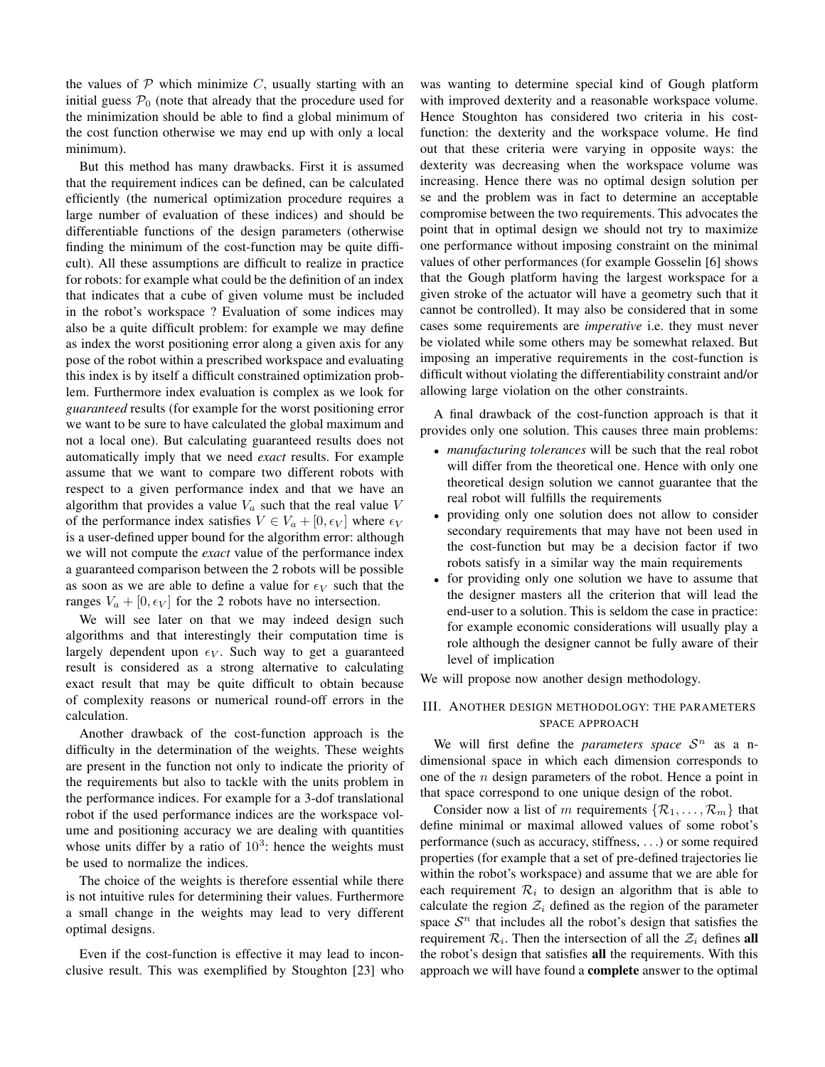the values of  $P$  which minimize  $C$ , usually starting with an initial guess  $\mathcal{P}_0$  (note that already that the procedure used for the minimization should be able to find a global minimum of the cost function otherwise we may end up with only a local minimum).

But this method has many drawbacks. First it is assumed that the requirement indices can be defined, can be calculated efficiently (the numerical optimization procedure requires a large number of evaluation of these indices) and should be differentiable functions of the design parameters (otherwise finding the minimum of the cost-function may be quite difficult). All these assumptions are difficult to realize in practice for robots: for example what could be the definition of an index that indicates that a cube of given volume must be included in the robot's workspace ? Evaluation of some indices may also be a quite difficult problem: for example we may define as index the worst positioning error along a given axis for any pose of the robot within a prescribed workspace and evaluating this index is by itself a difficult constrained optimization problem. Furthermore index evaluation is complex as we look for *guaranteed* results (for example for the worst positioning error we want to be sure to have calculated the global maximum and not a local one). But calculating guaranteed results does not automatically imply that we need *exact* results. For example assume that we want to compare two different robots with respect to a given performance index and that we have an algorithm that provides a value  $V_a$  such that the real value V of the performance index satisfies  $V \in V_a + [0, \epsilon_V]$  where  $\epsilon_V$ is a user-defined upper bound for the algorithm error: although we will not compute the *exact* value of the performance index a guaranteed comparison between the 2 robots will be possible as soon as we are able to define a value for  $\epsilon_V$  such that the ranges  $V_a + [0, \epsilon_V]$  for the 2 robots have no intersection.

We will see later on that we may indeed design such algorithms and that interestingly their computation time is largely dependent upon  $\epsilon_V$ . Such way to get a guaranteed result is considered as a strong alternative to calculating exact result that may be quite difficult to obtain because of complexity reasons or numerical round-off errors in the calculation.

Another drawback of the cost-function approach is the difficulty in the determination of the weights. These weights are present in the function not only to indicate the priority of the requirements but also to tackle with the units problem in the performance indices. For example for a 3-dof translational robot if the used performance indices are the workspace volume and positioning accuracy we are dealing with quantities whose units differ by a ratio of  $10<sup>3</sup>$ : hence the weights must be used to normalize the indices.

The choice of the weights is therefore essential while there is not intuitive rules for determining their values. Furthermore a small change in the weights may lead to very different optimal designs.

Even if the cost-function is effective it may lead to inconclusive result. This was exemplified by Stoughton [23] who

was wanting to determine special kind of Gough platform with improved dexterity and a reasonable workspace volume. Hence Stoughton has considered two criteria in his costfunction: the dexterity and the workspace volume. He find out that these criteria were varying in opposite ways: the dexterity was decreasing when the workspace volume was increasing. Hence there was no optimal design solution per se and the problem was in fact to determine an acceptable compromise between the two requirements. This advocates the point that in optimal design we should not try to maximize one performance without imposing constraint on the minimal values of other performances (for example Gosselin [6] shows that the Gough platform having the largest workspace for a given stroke of the actuator will have a geometry such that it cannot be controlled). It may also be considered that in some cases some requirements are *imperative* i.e. they must never be violated while some others may be somewhat relaxed. But imposing an imperative requirements in the cost-function is difficult without violating the differentiability constraint and/or allowing large violation on the other constraints.

A final drawback of the cost-function approach is that it provides only one solution. This causes three main problems:

- *manufacturing tolerances* will be such that the real robot will differ from the theoretical one. Hence with only one theoretical design solution we cannot guarantee that the real robot will fulfills the requirements
- providing only one solution does not allow to consider secondary requirements that may have not been used in the cost-function but may be a decision factor if two robots satisfy in a similar way the main requirements
- for providing only one solution we have to assume that the designer masters all the criterion that will lead the end-user to a solution. This is seldom the case in practice: for example economic considerations will usually play a role although the designer cannot be fully aware of their level of implication

We will propose now another design methodology.

# III. ANOTHER DESIGN METHODOLOGY: THE PARAMETERS SPACE APPROACH

We will first define the *parameters* space  $S<sup>n</sup>$  as a ndimensional space in which each dimension corresponds to one of the  $n$  design parameters of the robot. Hence a point in that space correspond to one unique design of the robot.

Consider now a list of m requirements  $\{R_1, \ldots, R_m\}$  that define minimal or maximal allowed values of some robot's performance (such as accuracy, stiffness, . . .) or some required properties (for example that a set of pre-defined trajectories lie within the robot's workspace) and assume that we are able for each requirement  $\mathcal{R}_i$  to design an algorithm that is able to calculate the region  $\mathcal{Z}_i$  defined as the region of the parameter space  $S<sup>n</sup>$  that includes all the robot's design that satisfies the requirement  $\mathcal{R}_i$ . Then the intersection of all the  $\mathcal{Z}_i$  defines **all** the robot's design that satisfies **all** the requirements. With this approach we will have found a **complete** answer to the optimal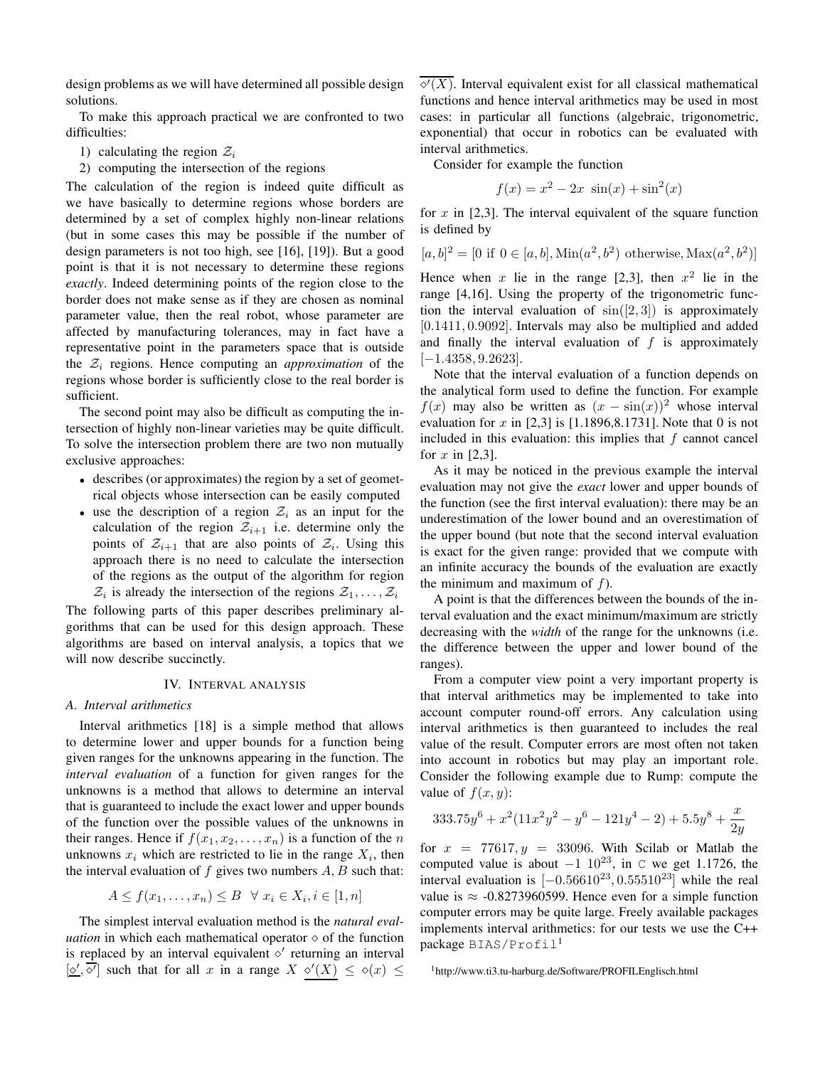design problems as we will have determined all possible design solutions.

To make this approach practical we are confronted to two difficulties:

- 1) calculating the region  $\mathcal{Z}_i$
- 2) computing the intersection of the regions

The calculation of the region is indeed quite difficult as we have basically to determine regions whose borders are determined by a set of complex highly non-linear relations (but in some cases this may be possible if the number of design parameters is not too high, see [16], [19]). But a good point is that it is not necessary to determine these regions *exactly*. Indeed determining points of the region close to the border does not make sense as if they are chosen as nominal parameter value, then the real robot, whose parameter are affected by manufacturing tolerances, may in fact have a representative point in the parameters space that is outside the  $\mathcal{Z}_i$  regions. Hence computing an *approximation* of the regions whose border is sufficiently close to the real border is sufficient.

The second point may also be difficult as computing the intersection of highly non-linear varieties may be quite difficult. To solve the intersection problem there are two non mutually exclusive approaches:

- describes (or approximates) the region by a set of geometrical objects whose intersection can be easily computed
- use the description of a region  $\mathcal{Z}_i$  as an input for the calculation of the region  $\mathcal{Z}_{i+1}$  i.e. determine only the points of  $\mathcal{Z}_{i+1}$  that are also points of  $\mathcal{Z}_i$ . Using this approach there is no need to calculate the intersection of the regions as the output of the algorithm for region  $\mathcal{Z}_i$  is already the intersection of the regions  $\mathcal{Z}_1, \ldots, \mathcal{Z}_i$

The following parts of this paper describes preliminary algorithms that can be used for this design approach. These algorithms are based on interval analysis, a topics that we will now describe succinctly.

#### IV. INTERVAL ANALYSIS

# *A. Interval arithmetics*

Interval arithmetics [18] is a simple method that allows to determine lower and upper bounds for a function being given ranges for the unknowns appearing in the function. The *interval evaluation* of a function for given ranges for the unknowns is a method that allows to determine an interval that is guaranteed to include the exact lower and upper bounds of the function over the possible values of the unknowns in their ranges. Hence if  $f(x_1, x_2, \ldots, x_n)$  is a function of the n unknowns  $x_i$  which are restricted to lie in the range  $X_i$ , then the interval evaluation of f gives two numbers  $A, B$  such that:

$$
A \le f(x_1, \dots, x_n) \le B \quad \forall \ x_i \in X_i, i \in [1, n]
$$

The simplest interval evaluation method is the *natural evaluation* in which each mathematical operator  $\diamond$  of the function is replaced by an interval equivalent  $\diamond'$  returning an interval  $[\underline{\diamond'} , \overline{\diamond'}]$  such that for all x in a range  $X \diamond'(X) \leq \diamond(x) \leq$ 

 $\overline{\diamond'(X)}$ . Interval equivalent exist for all classical mathematical functions and hence interval arithmetics may be used in most cases: in particular all functions (algebraic, trigonometric, exponential) that occur in robotics can be evaluated with interval arithmetics.

Consider for example the function

$$
f(x) = x^2 - 2x \sin(x) + \sin^2(x)
$$

for  $x$  in [2,3]. The interval equivalent of the square function is defined by

$$
[a, b]^2 = [0 \text{ if } 0 \in [a, b], \text{Min}(a^2, b^2) \text{ otherwise}, \text{Max}(a^2, b^2)]
$$

Hence when x lie in the range [2,3], then  $x^2$  lie in the range [4,16]. Using the property of the trigonometric function the interval evaluation of  $sin([2, 3])$  is approximately [0.1411, 0.9092]. Intervals may also be multiplied and added and finally the interval evaluation of  $f$  is approximately  $[-1.4358, 9.2623]$ .

Note that the interval evaluation of a function depends on the analytical form used to define the function. For example  $f(x)$  may also be written as  $(x - sin(x))^2$  whose interval evaluation for x in [2,3] is [1.1896,8.1731]. Note that 0 is not included in this evaluation: this implies that  $f$  cannot cancel for  $x$  in [2,3].

As it may be noticed in the previous example the interval evaluation may not give the *exact* lower and upper bounds of the function (see the first interval evaluation): there may be an underestimation of the lower bound and an overestimation of the upper bound (but note that the second interval evaluation is exact for the given range: provided that we compute with an infinite accuracy the bounds of the evaluation are exactly the minimum and maximum of  $f$ ).

A point is that the differences between the bounds of the interval evaluation and the exact minimum/maximum are strictly decreasing with the *width* of the range for the unknowns (i.e. the difference between the upper and lower bound of the ranges).

From a computer view point a very important property is that interval arithmetics may be implemented to take into account computer round-off errors. Any calculation using interval arithmetics is then guaranteed to includes the real value of the result. Computer errors are most often not taken into account in robotics but may play an important role. Consider the following example due to Rump: compute the value of  $f(x, y)$ :

$$
333.75y^{6} + x^{2}(11x^{2}y^{2} - y^{6} - 121y^{4} - 2) + 5.5y^{8} + \frac{x}{2y}
$$

for  $x = 77617, y = 33096$ . With Scilab or Matlab the computed value is about  $-1$   $10^{23}$ , in  $\degree$  we get 1.1726, the interval evaluation is  $[-0.56610^{23}, 0.55510^{23}]$  while the real value is  $\approx$  -0.8273960599. Hence even for a simple function computer errors may be quite large. Freely available packages implements interval arithmetics: for our tests we use the C++ package BIAS/Profil<sup>1</sup>

<sup>1</sup>http://www.ti3.tu-harburg.de/Software/PROFILEnglisch.html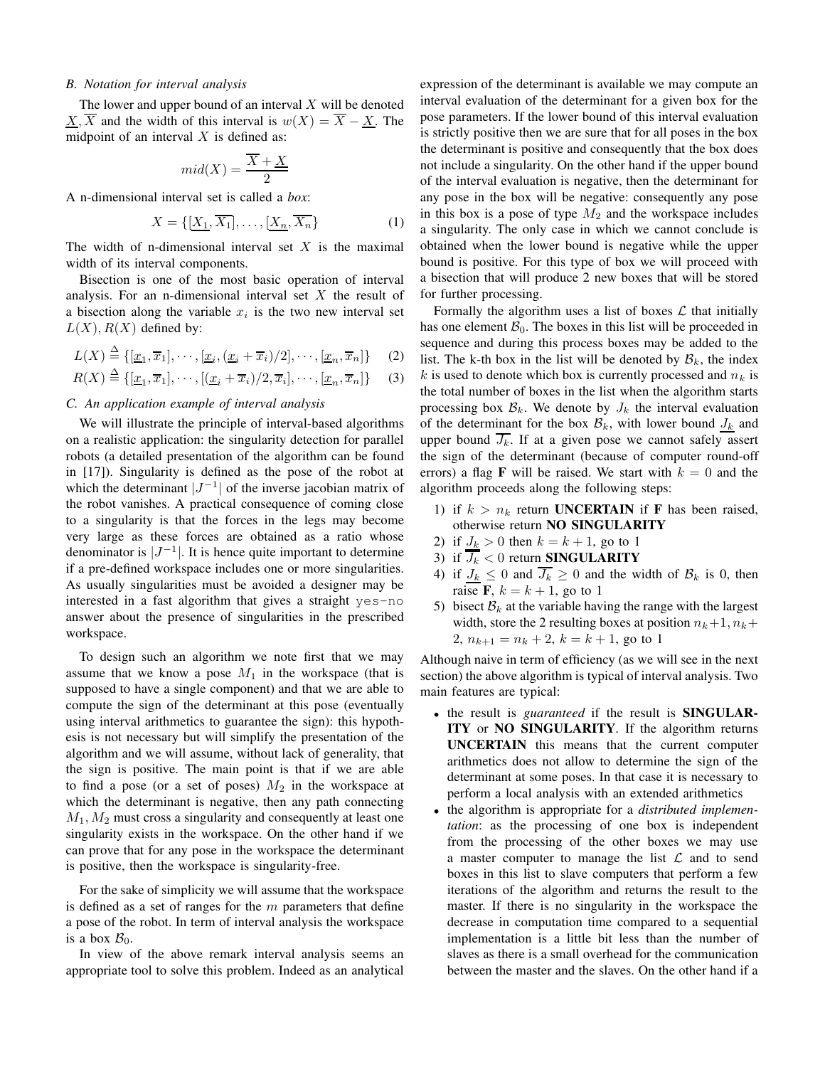### *B. Notation for interval analysis*

The lower and upper bound of an interval  $X$  will be denoted  $X, \overline{X}$  and the width of this interval is  $w(X) = \overline{X} - \underline{X}$ . The midpoint of an interval  $X$  is defined as:

$$
mid(X) = \frac{\overline{X} + \underline{X}}{2}
$$

A n-dimensional interval set is called a *box*:

$$
X = \{ \left[ \underline{X_1}, \overline{X_1} \right], \dots, \left[ \underline{X_n}, \overline{X_n} \right\} \tag{1}
$$

The width of n-dimensional interval set  $X$  is the maximal width of its interval components.

Bisection is one of the most basic operation of interval analysis. For an n-dimensional interval set  $X$  the result of a bisection along the variable  $x_i$  is the two new interval set  $L(X)$ ,  $R(X)$  defined by:

$$
L(X) \stackrel{\Delta}{=} \{[\underline{x}_1, \overline{x}_1], \cdots, [\underline{x}_i, (\underline{x}_i + \overline{x}_i)/2], \cdots, [\underline{x}_n, \overline{x}_n]\} \quad (2)
$$

$$
R(X) \stackrel{\Delta}{=} \{[\underline{x}_1, \overline{x}_1], \cdots, [\underline{x}_i + \overline{x}_i]/2, \overline{x}_i], \cdots, [\underline{x}_n, \overline{x}_n]\} \tag{3}
$$

## *C. An application example of interval analysis*

We will illustrate the principle of interval-based algorithms on a realistic application: the singularity detection for parallel robots (a detailed presentation of the algorithm can be found in [17]). Singularity is defined as the pose of the robot at which the determinant  $|J^{-1}|$  of the inverse jacobian matrix of the robot vanishes. A practical consequence of coming close to a singularity is that the forces in the legs may become very large as these forces are obtained as a ratio whose denominator is  $|J^{-1}|$ . It is hence quite important to determine if a pre-defined workspace includes one or more singularities. As usually singularities must be avoided a designer may be interested in a fast algorithm that gives a straight yes-no answer about the presence of singularities in the prescribed workspace.

To design such an algorithm we note first that we may assume that we know a pose  $M_1$  in the workspace (that is supposed to have a single component) and that we are able to compute the sign of the determinant at this pose (eventually using interval arithmetics to guarantee the sign): this hypothesis is not necessary but will simplify the presentation of the algorithm and we will assume, without lack of generality, that the sign is positive. The main point is that if we are able to find a pose (or a set of poses)  $M_2$  in the workspace at which the determinant is negative, then any path connecting  $M_1, M_2$  must cross a singularity and consequently at least one singularity exists in the workspace. On the other hand if we can prove that for any pose in the workspace the determinant is positive, then the workspace is singularity-free.

For the sake of simplicity we will assume that the workspace is defined as a set of ranges for the  $m$  parameters that define a pose of the robot. In term of interval analysis the workspace is a box  $\mathcal{B}_0$ .

In view of the above remark interval analysis seems an appropriate tool to solve this problem. Indeed as an analytical

expression of the determinant is available we may compute an interval evaluation of the determinant for a given box for the pose parameters. If the lower bound of this interval evaluation is strictly positive then we are sure that for all poses in the box the determinant is positive and consequently that the box does not include a singularity. On the other hand if the upper bound of the interval evaluation is negative, then the determinant for any pose in the box will be negative: consequently any pose in this box is a pose of type  $M_2$  and the workspace includes a singularity. The only case in which we cannot conclude is obtained when the lower bound is negative while the upper bound is positive. For this type of box we will proceed with a bisection that will produce 2 new boxes that will be stored for further processing.

Formally the algorithm uses a list of boxes  $\mathcal L$  that initially has one element  $\mathcal{B}_0$ . The boxes in this list will be proceeded in sequence and during this process boxes may be added to the list. The k-th box in the list will be denoted by  $\mathcal{B}_k$ , the index k is used to denote which box is currently processed and  $n_k$  is the total number of boxes in the list when the algorithm starts processing box  $\mathcal{B}_k$ . We denote by  $J_k$  the interval evaluation of the determinant for the box  $\mathcal{B}_k$ , with lower bound  $J_k$  and upper bound  $\overline{J_k}$ . If at a given pose we cannot safely assert the sign of the determinant (because of computer round-off errors) a flag **F** will be raised. We start with  $k = 0$  and the algorithm proceeds along the following steps:

- 1) if  $k > n_k$  return **UNCERTAIN** if **F** has been raised, otherwise return **NO SINGULARITY**
- 2) if  $J_k > 0$  then  $k = k + 1$ , go to 1
- 3) if  $\overline{J_k} < 0$  return **SINGULARITY**
- 4) if  $J_k \leq 0$  and  $\overline{J_k} \geq 0$  and the width of  $\mathcal{B}_k$  is 0, then raise **F**,  $k = k + 1$ , go to 1
- 5) bisect  $B_k$  at the variable having the range with the largest width, store the 2 resulting boxes at position  $n_k+1$ ,  $n_k+$ 2,  $n_{k+1} = n_k + 2$ ,  $k = k + 1$ , go to 1

Although naive in term of efficiency (as we will see in the next section) the above algorithm is typical of interval analysis. Two main features are typical:

- the result is *guaranteed* if the result is **SINGULAR-ITY** or **NO SINGULARITY**. If the algorithm returns **UNCERTAIN** this means that the current computer arithmetics does not allow to determine the sign of the determinant at some poses. In that case it is necessary to perform a local analysis with an extended arithmetics
- the algorithm is appropriate for a *distributed implementation*: as the processing of one box is independent from the processing of the other boxes we may use a master computer to manage the list  $\mathcal L$  and to send boxes in this list to slave computers that perform a few iterations of the algorithm and returns the result to the master. If there is no singularity in the workspace the decrease in computation time compared to a sequential implementation is a little bit less than the number of slaves as there is a small overhead for the communication between the master and the slaves. On the other hand if a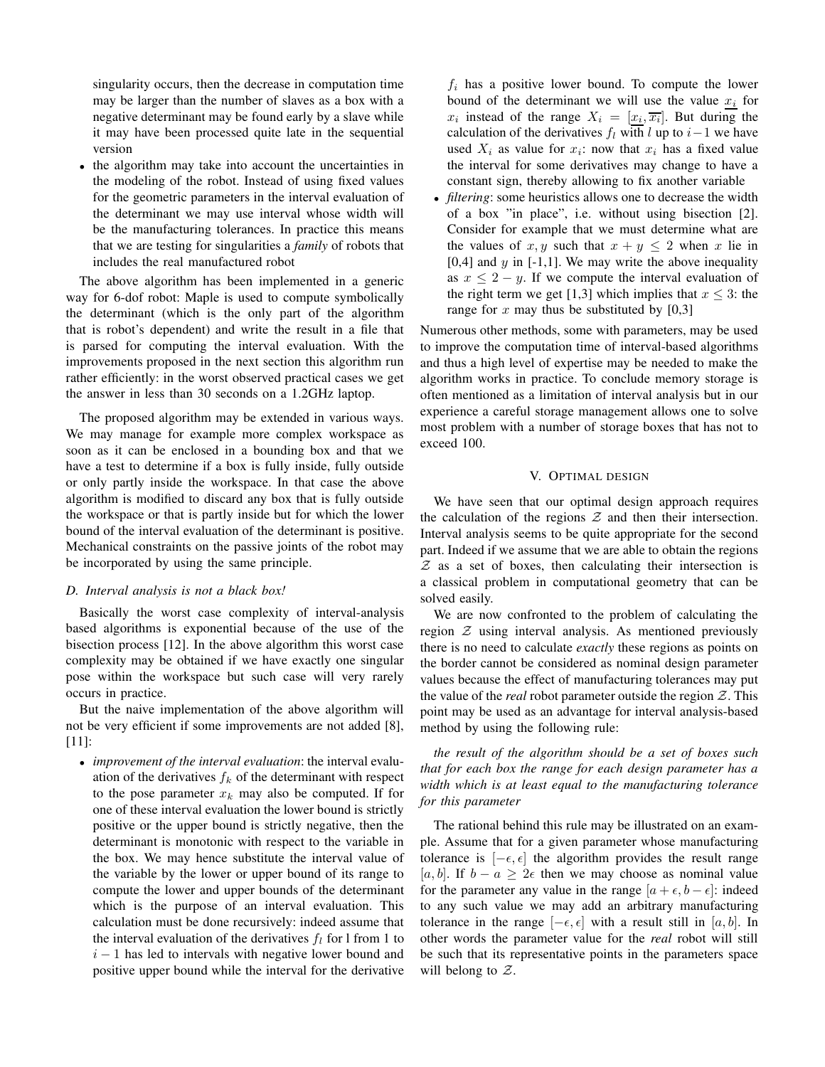singularity occurs, then the decrease in computation time may be larger than the number of slaves as a box with a negative determinant may be found early by a slave while it may have been processed quite late in the sequential version

• the algorithm may take into account the uncertainties in the modeling of the robot. Instead of using fixed values for the geometric parameters in the interval evaluation of the determinant we may use interval whose width will be the manufacturing tolerances. In practice this means that we are testing for singularities a *family* of robots that includes the real manufactured robot

The above algorithm has been implemented in a generic way for 6-dof robot: Maple is used to compute symbolically the determinant (which is the only part of the algorithm that is robot's dependent) and write the result in a file that is parsed for computing the interval evaluation. With the improvements proposed in the next section this algorithm run rather efficiently: in the worst observed practical cases we get the answer in less than 30 seconds on a 1.2GHz laptop.

The proposed algorithm may be extended in various ways. We may manage for example more complex workspace as soon as it can be enclosed in a bounding box and that we have a test to determine if a box is fully inside, fully outside or only partly inside the workspace. In that case the above algorithm is modified to discard any box that is fully outside the workspace or that is partly inside but for which the lower bound of the interval evaluation of the determinant is positive. Mechanical constraints on the passive joints of the robot may be incorporated by using the same principle.

## *D. Interval analysis is not a black box!*

Basically the worst case complexity of interval-analysis based algorithms is exponential because of the use of the bisection process [12]. In the above algorithm this worst case complexity may be obtained if we have exactly one singular pose within the workspace but such case will very rarely occurs in practice.

But the naive implementation of the above algorithm will not be very efficient if some improvements are not added [8], [11]:

• *improvement of the interval evaluation*: the interval evaluation of the derivatives  $f_k$  of the determinant with respect to the pose parameter  $x_k$  may also be computed. If for one of these interval evaluation the lower bound is strictly positive or the upper bound is strictly negative, then the determinant is monotonic with respect to the variable in the box. We may hence substitute the interval value of the variable by the lower or upper bound of its range to compute the lower and upper bounds of the determinant which is the purpose of an interval evaluation. This calculation must be done recursively: indeed assume that the interval evaluation of the derivatives  $f_l$  for l from 1 to  $i - 1$  has led to intervals with negative lower bound and positive upper bound while the interval for the derivative

 $f_i$  has a positive lower bound. To compute the lower bound of the determinant we will use the value  $x_i$  for  $x_i$  instead of the range  $X_i = [x_i, \overline{x_i}]$ . But during the calculation of the derivatives  $f_l$  with l up to  $i-1$  we have used  $X_i$  as value for  $x_i$ : now that  $x_i$  has a fixed value the interval for some derivatives may change to have a constant sign, thereby allowing to fix another variable

• *filtering*: some heuristics allows one to decrease the width of a box "in place", i.e. without using bisection [2]. Consider for example that we must determine what are the values of x, y such that  $x + y \leq 2$  when x lie in [0,4] and  $y$  in [-1,1]. We may write the above inequality as  $x \le 2 - y$ . If we compute the interval evaluation of the right term we get [1,3] which implies that  $x \leq 3$ : the range for  $x$  may thus be substituted by  $[0,3]$ 

Numerous other methods, some with parameters, may be used to improve the computation time of interval-based algorithms and thus a high level of expertise may be needed to make the algorithm works in practice. To conclude memory storage is often mentioned as a limitation of interval analysis but in our experience a careful storage management allows one to solve most problem with a number of storage boxes that has not to exceed 100.

#### V. OPTIMAL DESIGN

We have seen that our optimal design approach requires the calculation of the regions  $Z$  and then their intersection. Interval analysis seems to be quite appropriate for the second part. Indeed if we assume that we are able to obtain the regions  $Z$  as a set of boxes, then calculating their intersection is a classical problem in computational geometry that can be solved easily.

We are now confronted to the problem of calculating the region Z using interval analysis. As mentioned previously there is no need to calculate *exactly* these regions as points on the border cannot be considered as nominal design parameter values because the effect of manufacturing tolerances may put the value of the *real* robot parameter outside the region  $Z$ . This point may be used as an advantage for interval analysis-based method by using the following rule:

*the result of the algorithm should be a set of boxes such that for each box the range for each design parameter has a width which is at least equal to the manufacturing tolerance for this parameter*

The rational behind this rule may be illustrated on an example. Assume that for a given parameter whose manufacturing tolerance is  $[-\epsilon, \epsilon]$  the algorithm provides the result range [a, b]. If  $b - a \geq 2\epsilon$  then we may choose as nominal value for the parameter any value in the range  $[a + \epsilon, b - \epsilon]$ : indeed to any such value we may add an arbitrary manufacturing tolerance in the range  $[-\epsilon, \epsilon]$  with a result still in [a, b]. In other words the parameter value for the *real* robot will still be such that its representative points in the parameters space will belong to  $Z$ .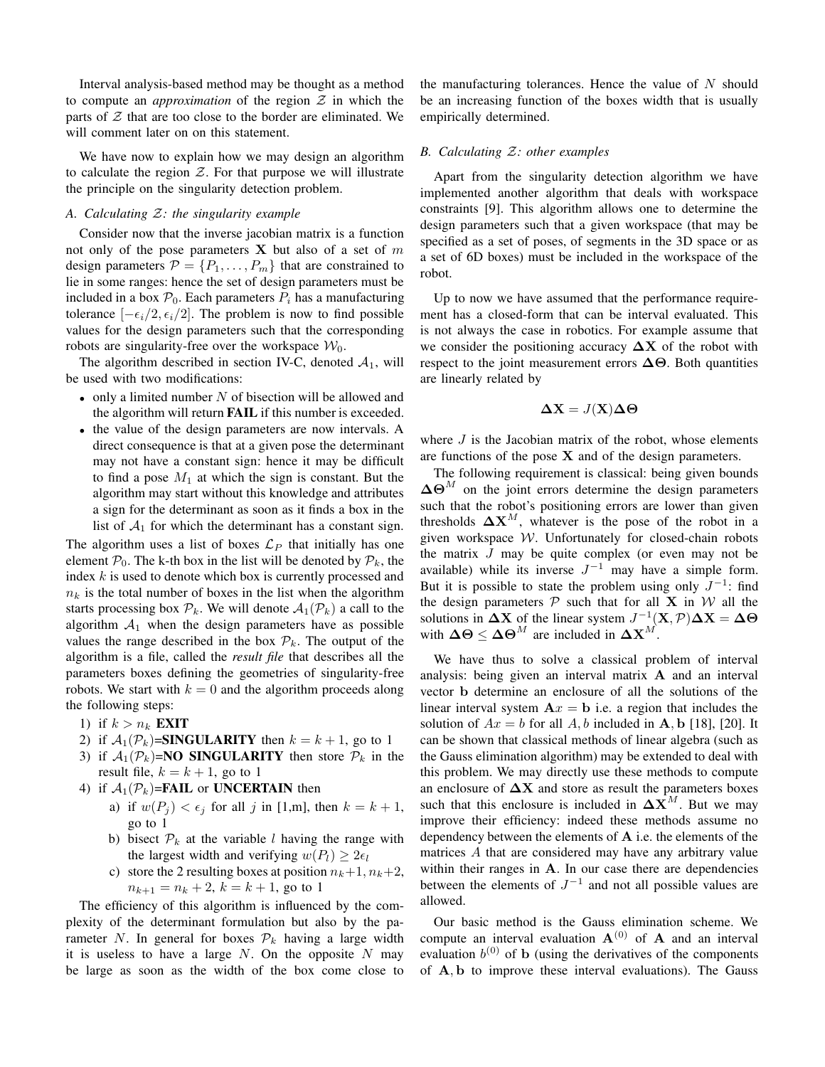Interval analysis-based method may be thought as a method to compute an *approximation* of the region  $Z$  in which the parts of  $Z$  that are too close to the border are eliminated. We will comment later on on this statement.

We have now to explain how we may design an algorithm to calculate the region  $Z$ . For that purpose we will illustrate the principle on the singularity detection problem.

# *A. Calculating* Z*: the singularity example*

Consider now that the inverse jacobian matrix is a function not only of the pose parameters  $X$  but also of a set of  $m$ design parameters  $\mathcal{P} = \{P_1, \ldots, P_m\}$  that are constrained to lie in some ranges: hence the set of design parameters must be included in a box  $\mathcal{P}_0$ . Each parameters  $P_i$  has a manufacturing tolerance  $[-\epsilon_i/2, \epsilon_i/2]$ . The problem is now to find possible values for the design parameters such that the corresponding robots are singularity-free over the workspace  $W_0$ .

The algorithm described in section IV-C, denoted  $A_1$ , will be used with two modifications:

- only a limited number  $N$  of bisection will be allowed and the algorithm will return **FAIL** if this number is exceeded.
- the value of the design parameters are now intervals. A direct consequence is that at a given pose the determinant may not have a constant sign: hence it may be difficult to find a pose  $M_1$  at which the sign is constant. But the algorithm may start without this knowledge and attributes a sign for the determinant as soon as it finds a box in the list of  $A_1$  for which the determinant has a constant sign.

The algorithm uses a list of boxes  $\mathcal{L}_P$  that initially has one element  $P_0$ . The k-th box in the list will be denoted by  $P_k$ , the index  $k$  is used to denote which box is currently processed and  $n_k$  is the total number of boxes in the list when the algorithm starts processing box  $P_k$ . We will denote  $A_1(\mathcal{P}_k)$  a call to the algorithm  $A_1$  when the design parameters have as possible values the range described in the box  $\mathcal{P}_k$ . The output of the algorithm is a file, called the *result file* that describes all the parameters boxes defining the geometries of singularity-free robots. We start with  $k = 0$  and the algorithm proceeds along the following steps:

- 1) if  $k > n_k$  **EXIT**
- 2) if  $A_1(\mathcal{P}_k)$ =**SINGULARITY** then  $k = k + 1$ , go to 1
- 3) if  $A_1(\mathcal{P}_k)$ =**NO SINGULARITY** then store  $\mathcal{P}_k$  in the result file,  $k = k + 1$ , go to 1
- 4) if  $A_1(\mathcal{P}_k)$ =**FAIL** or **UNCERTAIN** then
	- a) if  $w(P_j) < \epsilon_j$  for all j in [1,m], then  $k = k + 1$ , go to 1
	- b) bisect  $P_k$  at the variable l having the range with the largest width and verifying  $w(P_l) \geq 2\epsilon_l$
	- c) store the 2 resulting boxes at position  $n_k+1, n_k+2$ ,  $n_{k+1} = n_k + 2, k = k + 1$ , go to 1

The efficiency of this algorithm is influenced by the complexity of the determinant formulation but also by the parameter N. In general for boxes  $\mathcal{P}_k$  having a large width it is useless to have a large  $N$ . On the opposite  $N$  may be large as soon as the width of the box come close to the manufacturing tolerances. Hence the value of  $N$  should be an increasing function of the boxes width that is usually empirically determined.

#### *B. Calculating* Z*: other examples*

Apart from the singularity detection algorithm we have implemented another algorithm that deals with workspace constraints [9]. This algorithm allows one to determine the design parameters such that a given workspace (that may be specified as a set of poses, of segments in the 3D space or as a set of 6D boxes) must be included in the workspace of the robot.

Up to now we have assumed that the performance requirement has a closed-form that can be interval evaluated. This is not always the case in robotics. For example assume that we consider the positioning accuracy  $\Delta X$  of the robot with respect to the joint measurement errors  $\Delta\Theta$ . Both quantities are linearly related by

$$
\Delta \mathbf{X} = J(\mathbf{X}) \Delta \Theta
$$

where  $J$  is the Jacobian matrix of the robot, whose elements are functions of the pose  $X$  and of the design parameters.

The following requirement is classical: being given bounds  $\Delta\Theta^M$  on the joint errors determine the design parameters such that the robot's positioning errors are lower than given thresholds  $\Delta X^M$ , whatever is the pose of the robot in a given workspace W. Unfortunately for closed-chain robots the matrix  $J$  may be quite complex (or even may not be available) while its inverse  $J^{-1}$  may have a simple form. But it is possible to state the problem using only  $J^{-1}$ : find the design parameters  $P$  such that for all **X** in W all the solutions in  $\Delta X$  of the linear system  $J^{-1}(X,\mathcal{P})\Delta X = \Delta \Theta$ with  $\Delta\Theta \leq \Delta\Theta^M$  are included in  $\Delta X^M$ .

We have thus to solve a classical problem of interval analysis: being given an interval matrix A and an interval vector b determine an enclosure of all the solutions of the linear interval system  $A x = b$  i.e. a region that includes the solution of  $Ax = b$  for all A, b included in A, b [18], [20]. It can be shown that classical methods of linear algebra (such as the Gauss elimination algorithm) may be extended to deal with this problem. We may directly use these methods to compute an enclosure of  $\Delta X$  and store as result the parameters boxes such that this enclosure is included in  $\Delta X^M$ . But we may improve their efficiency: indeed these methods assume no dependency between the elements of A i.e. the elements of the matrices A that are considered may have any arbitrary value within their ranges in A. In our case there are dependencies between the elements of  $J^{-1}$  and not all possible values are allowed.

Our basic method is the Gauss elimination scheme. We compute an interval evaluation  $A^{(0)}$  of A and an interval evaluation  $b^{(0)}$  of b (using the derivatives of the components of A, b to improve these interval evaluations). The Gauss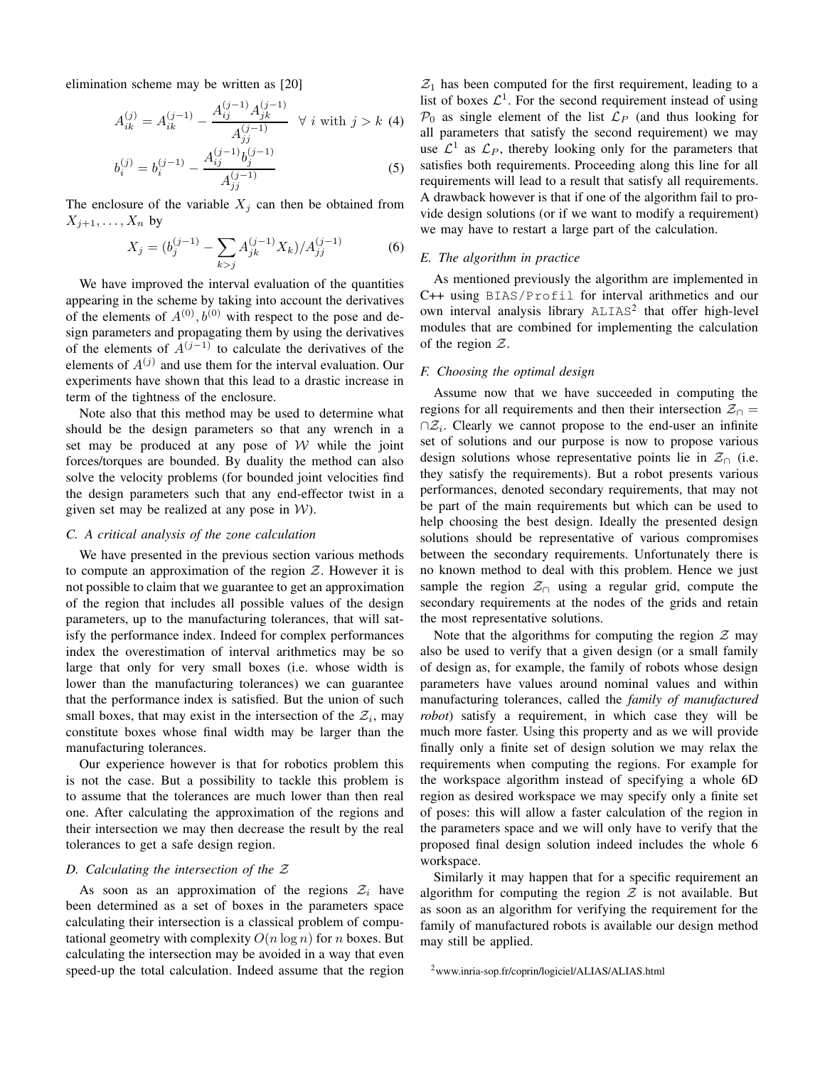elimination scheme may be written as [20]

$$
A_{ik}^{(j)} = A_{ik}^{(j-1)} - \frac{A_{ij}^{(j-1)} A_{jk}^{(j-1)}}{A_{jj}^{(j-1)}} \quad \forall \ i \text{ with } j > k \text{ (4)}
$$

$$
b_i^{(j)} = b_i^{(j-1)} - \frac{A_{ij}^{(j-1)} b_j^{(j-1)}}{A_{jj}^{(j-1)}}
$$
 (5)

The enclosure of the variable  $X_j$  can then be obtained from  $X_{j+1}, \ldots, X_n$  by

$$
X_j = (b_j^{(j-1)} - \sum_{k>j} A_{jk}^{(j-1)} X_k) / A_{jj}^{(j-1)}
$$
 (6)

We have improved the interval evaluation of the quantities appearing in the scheme by taking into account the derivatives of the elements of  $A^{(0)}$ ,  $b^{(0)}$  with respect to the pose and design parameters and propagating them by using the derivatives of the elements of  $A^{(j-1)}$  to calculate the derivatives of the elements of  $A^{(j)}$  and use them for the interval evaluation. Our experiments have shown that this lead to a drastic increase in term of the tightness of the enclosure.

Note also that this method may be used to determine what should be the design parameters so that any wrench in a set may be produced at any pose of  $W$  while the joint forces/torques are bounded. By duality the method can also solve the velocity problems (for bounded joint velocities find the design parameters such that any end-effector twist in a given set may be realized at any pose in  $W$ ).

# *C. A critical analysis of the zone calculation*

We have presented in the previous section various methods to compute an approximation of the region  $Z$ . However it is not possible to claim that we guarantee to get an approximation of the region that includes all possible values of the design parameters, up to the manufacturing tolerances, that will satisfy the performance index. Indeed for complex performances index the overestimation of interval arithmetics may be so large that only for very small boxes (i.e. whose width is lower than the manufacturing tolerances) we can guarantee that the performance index is satisfied. But the union of such small boxes, that may exist in the intersection of the  $\mathcal{Z}_i$ , may constitute boxes whose final width may be larger than the manufacturing tolerances.

Our experience however is that for robotics problem this is not the case. But a possibility to tackle this problem is to assume that the tolerances are much lower than then real one. After calculating the approximation of the regions and their intersection we may then decrease the result by the real tolerances to get a safe design region.

#### *D. Calculating the intersection of the* Z

As soon as an approximation of the regions  $\mathcal{Z}_i$  have been determined as a set of boxes in the parameters space calculating their intersection is a classical problem of computational geometry with complexity  $O(n \log n)$  for n boxes. But calculating the intersection may be avoided in a way that even speed-up the total calculation. Indeed assume that the region

 $\mathcal{Z}_1$  has been computed for the first requirement, leading to a list of boxes  $\mathcal{L}^1$ . For the second requirement instead of using  $P_0$  as single element of the list  $\mathcal{L}_P$  (and thus looking for all parameters that satisfy the second requirement) we may use  $\mathcal{L}^1$  as  $\mathcal{L}_P$ , thereby looking only for the parameters that satisfies both requirements. Proceeding along this line for all requirements will lead to a result that satisfy all requirements. A drawback however is that if one of the algorithm fail to provide design solutions (or if we want to modify a requirement) we may have to restart a large part of the calculation.

## *E. The algorithm in practice*

As mentioned previously the algorithm are implemented in C++ using BIAS/Profil for interval arithmetics and our own interval analysis library  $ALIAS^2$  that offer high-level modules that are combined for implementing the calculation of the region  $Z$ .

#### *F. Choosing the optimal design*

Assume now that we have succeeded in computing the regions for all requirements and then their intersection  $\mathcal{Z}_{\cap}$  =  $\cap \mathcal{Z}_i$ . Clearly we cannot propose to the end-user an infinite set of solutions and our purpose is now to propose various design solutions whose representative points lie in  $\mathcal{Z}_{\cap}$  (i.e. they satisfy the requirements). But a robot presents various performances, denoted secondary requirements, that may not be part of the main requirements but which can be used to help choosing the best design. Ideally the presented design solutions should be representative of various compromises between the secondary requirements. Unfortunately there is no known method to deal with this problem. Hence we just sample the region  $\mathcal{Z}_{\cap}$  using a regular grid, compute the secondary requirements at the nodes of the grids and retain the most representative solutions.

Note that the algorithms for computing the region  $\mathcal Z$  may also be used to verify that a given design (or a small family of design as, for example, the family of robots whose design parameters have values around nominal values and within manufacturing tolerances, called the *family of manufactured robot*) satisfy a requirement, in which case they will be much more faster. Using this property and as we will provide finally only a finite set of design solution we may relax the requirements when computing the regions. For example for the workspace algorithm instead of specifying a whole 6D region as desired workspace we may specify only a finite set of poses: this will allow a faster calculation of the region in the parameters space and we will only have to verify that the proposed final design solution indeed includes the whole 6 workspace.

Similarly it may happen that for a specific requirement an algorithm for computing the region  $\mathcal Z$  is not available. But as soon as an algorithm for verifying the requirement for the family of manufactured robots is available our design method may still be applied.

<sup>2</sup>www.inria-sop.fr/coprin/logiciel/ALIAS/ALIAS.html